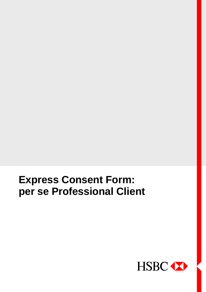

# **Express Consent Form: per se Professional Client**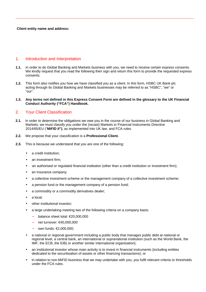## 1. Introduction and Interpretation

- **1.1.** In order to do Global Banking and Markets business with you, we need to receive certain express consents. We kindly request that you read the following then sign and return this form to provide the requested express consents.
- **1.2.** This form also notifies you how we have classified you as a client. In this form, HSBC UK Bank plc acting through its Global Banking and Markets businesses may be referred to as "HSBC", "we" or "our".
- **1.3. Any terms not defined in this Express Consent Form are defined in the glossary to the UK Financial Conduct Authority ("FCA") Handbook.**

## 2. Your Client Classification

- **2.1.** In order to determine the obligations we owe you in the course of our business in Global Banking and Markets, we must classify you under the (recast) Markets in Financial Instruments Directive 2014/65/EU ("**MiFID II")**, as implemented into UK law, and FCA rules.
- **2.2.** We propose that your classification is a **Professional Client.**
- **2.3.** This is because we understand that you are one of the following:
	- a credit institution;
	- an investment firm;
	- an authorised or regulated financial institution (other than a credit institution or investment firm);
	- an insurance company;
	- a collective investment scheme or the management company of a collective investment scheme;
	- a pension fund or the management company of a pension fund;
	- a commodity or a commodity derivatives dealer;
	- a local:
	- other institutional investor:
	- a large undertaking meeting two of the following criteria on a company basis:
		- − balance sheet total: €20,000,000
		- − net turnover: €40,000,000
		- own funds: €2,000,000;
	- a national or regional government including a public body that manages public debt at national or regional level, a central bank, an international or supranational institution (such as the World Bank, the IMF, the ECB, the EIB) or another similar international organisation);
	- an institutional investor whose main activity is to invest in financial instruments (including entities dedicated to the securitisation of assets or other financing transactions); or
	- in relation to non-MiFID business that we may undertake with you, you fulfil relevant criteria or thresholds under the FCA rules.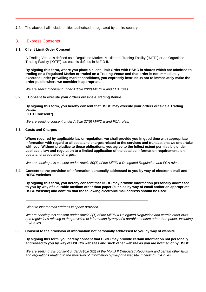**2.4.** The above shall include entities authorised or regulated by a third country.

## 3. Express Consents

### **3.1. Client Limit Order Consent**

A Trading Venue is defined as a Regulated Market, Multilateral Trading Facility ("MTF") or an Organised Trading Facility ("OTF"), as each is defined in MiFID II.

**By signing this form, where you place a client Limit Order with HSBC in shares which are admitted to trading on a Regulated Market or traded on a Trading Venue and that order is not immediately executed under prevailing market conditions, you expressly instruct us not to immediately make the order public where we consider it appropriate.**

*We are seeking consent under Article 28(2) MiFID II and FCA rules.*

#### **3.2. Consent to execute your orders outside a Trading Venue**

**By signing this form, you hereby consent that HSBC may execute your orders outside a Trading Venue ("OTC Consent").**

*We are seeking consent under Article 27(5) MiFID II and FCA rules.*

**3.3. Costs and Charges**

**Where required by applicable law or regulation, we shall provide you in good time with appropriate information with regard to all costs and charges related to the services and transactions we undertake with you. Without prejudice to these obligations, you agree to the fullest extent permissible under applicable law and regulation to a limited application of the detailed information requirements on costs and associated charges.**

*We are seeking this consent under Article 50(1) of the MiFID II Delegated Regulation and FCA rules.*

**3.4. Consent to the provision of information personally addressed to you by way of electronic mail and HSBC websites**

**By signing this form, you hereby consent that HSBC may provide information personally addressed to you by way of a durable medium other than paper (such as by way of email and/or an appropriate HSBC website) and confirm that the following electronic mail address should be used:**

*Client to insert email address in space provided.*

*We are seeking this consent under Article 3(1) of the MiFID II Delegated Regulation and certain other laws and regulations relating to the provision of information by way of a durable medium other than paper, including FCA rules.*

#### **3.5. Consent to the provision of information not personally addressed to you by way of website**

[\_\_\_\_\_\_\_\_\_\_\_\_\_\_\_\_\_\_\_\_\_\_\_\_\_\_\_\_\_\_\_\_\_\_\_\_\_\_\_\_\_\_\_\_\_\_\_\_\_\_\_\_\_\_\_\_\_\_\_\_\_\_\_]

**By signing this form, you hereby consent that HSBC may provide certain information not personally addressed to you by way of HSBC's websites and such other website as you are notified of by HSBC.**

*We are seeking this consent under Article 3(2) of the MiFID II Delegated Regulation and certain other laws and regulations relating to the provision of information by way of a website, including FCA rules.*